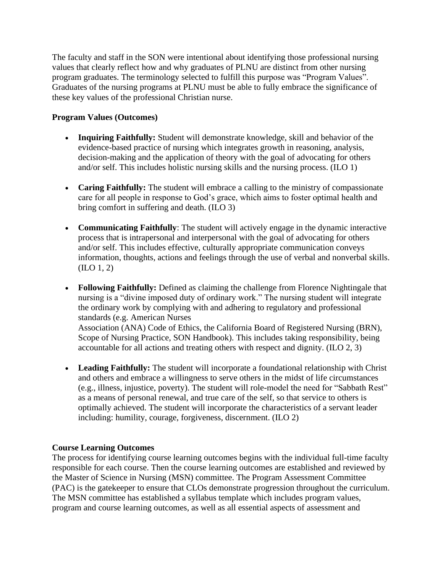The faculty and staff in the SON were intentional about identifying those professional nursing values that clearly reflect how and why graduates of PLNU are distinct from other nursing program graduates. The terminology selected to fulfill this purpose was "Program Values". Graduates of the nursing programs at PLNU must be able to fully embrace the significance of these key values of the professional Christian nurse.

## **Program Values (Outcomes)**

- **Inquiring Faithfully:** Student will demonstrate knowledge, skill and behavior of the evidence-based practice of nursing which integrates growth in reasoning, analysis, decision-making and the application of theory with the goal of advocating for others and/or self. This includes holistic nursing skills and the nursing process. (ILO 1)
- **Caring Faithfully:** The student will embrace a calling to the ministry of compassionate care for all people in response to God's grace, which aims to foster optimal health and bring comfort in suffering and death. (ILO 3)
- **Communicating Faithfully**: The student will actively engage in the dynamic interactive process that is intrapersonal and interpersonal with the goal of advocating for others and/or self. This includes effective, culturally appropriate communication conveys information, thoughts, actions and feelings through the use of verbal and nonverbal skills. (ILO 1, 2)
- **Following Faithfully:** Defined as claiming the challenge from Florence Nightingale that nursing is a "divine imposed duty of ordinary work." The nursing student will integrate the ordinary work by complying with and adhering to regulatory and professional standards (e.g. American Nurses Association (ANA) Code of Ethics, the California Board of Registered Nursing (BRN), Scope of Nursing Practice, SON Handbook). This includes taking responsibility, being accountable for all actions and treating others with respect and dignity. (ILO 2, 3)
- **Leading Faithfully:** The student will incorporate a foundational relationship with Christ and others and embrace a willingness to serve others in the midst of life circumstances (e.g., illness, injustice, poverty). The student will role-model the need for "Sabbath Rest" as a means of personal renewal, and true care of the self, so that service to others is optimally achieved. The student will incorporate the characteristics of a servant leader including: humility, courage, forgiveness, discernment. (ILO 2)

## **Course Learning Outcomes**

The process for identifying course learning outcomes begins with the individual full-time faculty responsible for each course. Then the course learning outcomes are established and reviewed by the Master of Science in Nursing (MSN) committee. The Program Assessment Committee (PAC) is the gatekeeper to ensure that CLOs demonstrate progression throughout the curriculum. The MSN committee has established a syllabus template which includes program values, program and course learning outcomes, as well as all essential aspects of assessment and